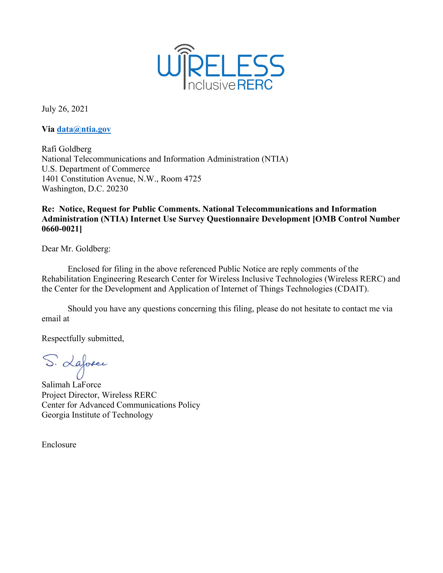

July 26, 2021

**Via [data@ntia.gov](mailto:data@ntia.gov)**

Rafi Goldberg National Telecommunications and Information Administration (NTIA) U.S. Department of Commerce 1401 Constitution Avenue, N.W., Room 4725 Washington, D.C. 20230

### **Re: Notice, Request for Public Comments. National Telecommunications and Information Administration (NTIA) Internet Use Survey Questionnaire Development [OMB Control Number 0660-0021]**

Dear Mr. Goldberg:

Enclosed for filing in the above referenced Public Notice are reply comments of the Rehabilitation Engineering Research Center for Wireless Inclusive Technologies (Wireless RERC) and the Center for the Development and Application of Internet of Things Technologies (CDAIT).

Should you have any questions concerning this filing, please do not hesitate to contact me via email at

Respectfully submitted,

S. Laforce

Salimah LaForce Project Director, Wireless RERC Center for Advanced Communications Policy Georgia Institute of Technology

Enclosure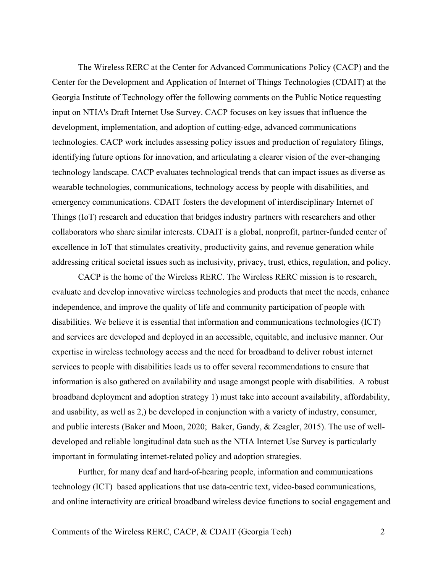The Wireless RERC at the Center for Advanced Communications Policy (CACP) and the Center for the Development and Application of Internet of Things Technologies (CDAIT) at the Georgia Institute of Technology offer the following comments on the Public Notice requesting input on NTIA's Draft Internet Use Survey. CACP focuses on key issues that influence the development, implementation, and adoption of cutting-edge, advanced communications technologies. CACP work includes assessing policy issues and production of regulatory filings, identifying future options for innovation, and articulating a clearer vision of the ever-changing technology landscape. CACP evaluates technological trends that can impact issues as diverse as wearable technologies, communications, technology access by people with disabilities, and emergency communications. CDAIT fosters the development of interdisciplinary Internet of Things (IoT) research and education that bridges industry partners with researchers and other collaborators who share similar interests. CDAIT is a global, nonprofit, partner-funded center of excellence in IoT that stimulates creativity, productivity gains, and revenue generation while addressing critical societal issues such as inclusivity, privacy, trust, ethics, regulation, and policy.

CACP is the home of the Wireless RERC. The Wireless RERC mission is to research, evaluate and develop innovative wireless technologies and products that meet the needs, enhance independence, and improve the quality of life and community participation of people with disabilities. We believe it is essential that information and communications technologies (ICT) and services are developed and deployed in an accessible, equitable, and inclusive manner. Our expertise in wireless technology access and the need for broadband to deliver robust internet services to people with disabilities leads us to offer several recommendations to ensure that information is also gathered on availability and usage amongst people with disabilities. A robust broadband deployment and adoption strategy 1) must take into account availability, affordability, and usability, as well as 2,) be developed in conjunction with a variety of industry, consumer, and public interests (Baker and Moon, 2020; Baker, Gandy, & Zeagler, 2015). The use of welldeveloped and reliable longitudinal data such as the NTIA Internet Use Survey is particularly important in formulating internet-related policy and adoption strategies.

Further, for many deaf and hard-of-hearing people, information and communications technology (ICT) based applications that use data-centric text, video-based communications, and online interactivity are critical broadband wireless device functions to social engagement and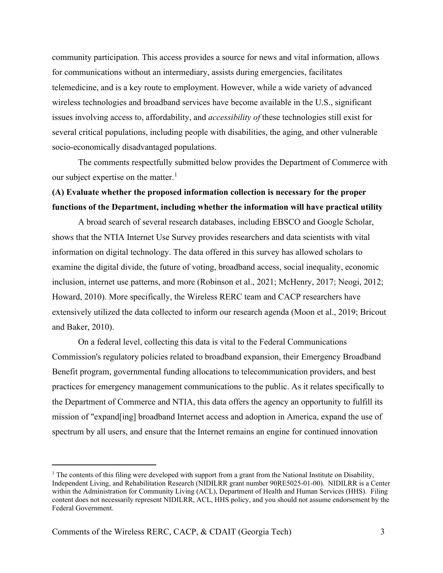community participation. This access provides a source for news and vital information, allows for communications without an intermediary, assists during emergencies, facilitates telemedicine, and is a key route to employment. However, while a wide variety of advanced wireless technologies and broadband services have become available in the U.S., significant issues involving access to, affordability, and *accessibility of* these technologies still exist for several critical populations, including people with disabilities, the aging, and other vulnerable socio-economically disadvantaged populations.

The comments respectfully submitted below provides the Department of Commerce with our subject expertise on the matter. $<sup>1</sup>$  $<sup>1</sup>$  $<sup>1</sup>$ </sup>

## **(A) Evaluate whether the proposed information collection is necessary for the proper functions of the Department, including whether the information will have practical utility**

A broad search of several research databases, including EBSCO and Google Scholar, shows that the NTIA Internet Use Survey provides researchers and data scientists with vital information on digital technology. The data offered in this survey has allowed scholars to examine the digital divide, the future of voting, broadband access, social inequality, economic inclusion, internet use patterns, and more (Robinson et al., 2021; McHenry, 2017; Neogi, 2012; Howard, 2010). More specifically, the Wireless RERC team and CACP researchers have extensively utilized the data collected to inform our research agenda (Moon et al., 2019; Bricout and Baker, 2010).

On a federal level, collecting this data is vital to the Federal Communications Commission's regulatory policies related to broadband expansion, their Emergency Broadband Benefit program, governmental funding allocations to telecommunication providers, and best practices for emergency management communications to the public. As it relates specifically to the Department of Commerce and NTIA, this data offers the agency an opportunity to fulfill its mission of "expand[ing] broadband Internet access and adoption in America, expand the use of spectrum by all users, and ensure that the Internet remains an engine for continued innovation

<span id="page-2-0"></span><sup>&</sup>lt;sup>1</sup> The contents of this filing were developed with support from a grant from the National Institute on Disability, Independent Living, and Rehabilitation Research (NIDILRR grant number 90RE5025-01-00). NIDILRR is a Center within the Administration for Community Living (ACL), Department of Health and Human Services (HHS). Filing content does not necessarily represent NIDILRR, ACL, HHS policy, and you should not assume endorsement by the Federal Government.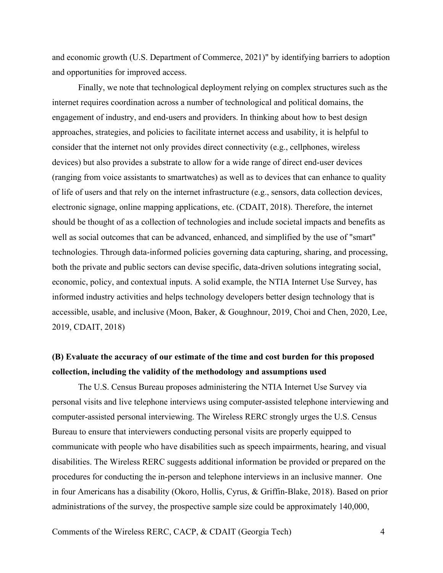and economic growth (U.S. Department of Commerce, 2021)" by identifying barriers to adoption and opportunities for improved access.

Finally, we note that technological deployment relying on complex structures such as the internet requires coordination across a number of technological and political domains, the engagement of industry, and end-users and providers. In thinking about how to best design approaches, strategies, and policies to facilitate internet access and usability, it is helpful to consider that the internet not only provides direct connectivity (e.g., cellphones, wireless devices) but also provides a substrate to allow for a wide range of direct end-user devices (ranging from voice assistants to smartwatches) as well as to devices that can enhance to quality of life of users and that rely on the internet infrastructure (e.g., sensors, data collection devices, electronic signage, online mapping applications, etc. (CDAIT, 2018). Therefore, the internet should be thought of as a collection of technologies and include societal impacts and benefits as well as social outcomes that can be advanced, enhanced, and simplified by the use of "smart" technologies. Through data-informed policies governing data capturing, sharing, and processing, both the private and public sectors can devise specific, data-driven solutions integrating social, economic, policy, and contextual inputs. A solid example, the NTIA Internet Use Survey, has informed industry activities and helps technology developers better design technology that is accessible, usable, and inclusive (Moon, Baker, & Goughnour, 2019, Choi and Chen, 2020, Lee, 2019, CDAIT, 2018)

## **(B) Evaluate the accuracy of our estimate of the time and cost burden for this proposed collection, including the validity of the methodology and assumptions used**

The U.S. Census Bureau proposes administering the NTIA Internet Use Survey via personal visits and live telephone interviews using computer-assisted telephone interviewing and computer-assisted personal interviewing. The Wireless RERC strongly urges the U.S. Census Bureau to ensure that interviewers conducting personal visits are properly equipped to communicate with people who have disabilities such as speech impairments, hearing, and visual disabilities. The Wireless RERC suggests additional information be provided or prepared on the procedures for conducting the in-person and telephone interviews in an inclusive manner. One in four Americans has a disability (Okoro, Hollis, Cyrus, & Griffin-Blake, 2018). Based on prior administrations of the survey, the prospective sample size could be approximately 140,000,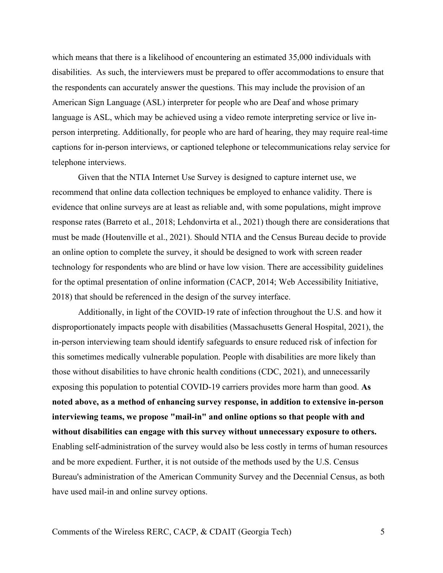which means that there is a likelihood of encountering an estimated 35,000 individuals with disabilities. As such, the interviewers must be prepared to offer accommodations to ensure that the respondents can accurately answer the questions. This may include the provision of an American Sign Language (ASL) interpreter for people who are Deaf and whose primary language is ASL, which may be achieved using a video remote interpreting service or live inperson interpreting. Additionally, for people who are hard of hearing, they may require real-time captions for in-person interviews, or captioned telephone or telecommunications relay service for telephone interviews.

Given that the NTIA Internet Use Survey is designed to capture internet use, we recommend that online data collection techniques be employed to enhance validity. There is evidence that online surveys are at least as reliable and, with some populations, might improve response rates (Barreto et al., 2018; Lehdonvirta et al., 2021) though there are considerations that must be made (Houtenville et al., 2021). Should NTIA and the Census Bureau decide to provide an online option to complete the survey, it should be designed to work with screen reader technology for respondents who are blind or have low vision. There are accessibility guidelines for the optimal presentation of online information (CACP, 2014; Web Accessibility Initiative, 2018) that should be referenced in the design of the survey interface.

Additionally, in light of the COVID-19 rate of infection throughout the U.S. and how it disproportionately impacts people with disabilities (Massachusetts General Hospital, 2021), the in-person interviewing team should identify safeguards to ensure reduced risk of infection for this sometimes medically vulnerable population. People with disabilities are more likely than those without disabilities to have chronic health conditions (CDC, 2021), and unnecessarily exposing this population to potential COVID-19 carriers provides more harm than good. **As noted above, as a method of enhancing survey response, in addition to extensive in-person interviewing teams, we propose "mail-in" and online options so that people with and without disabilities can engage with this survey without unnecessary exposure to others.** Enabling self-administration of the survey would also be less costly in terms of human resources and be more expedient. Further, it is not outside of the methods used by the U.S. Census Bureau's administration of the American Community Survey and the Decennial Census, as both have used mail-in and online survey options.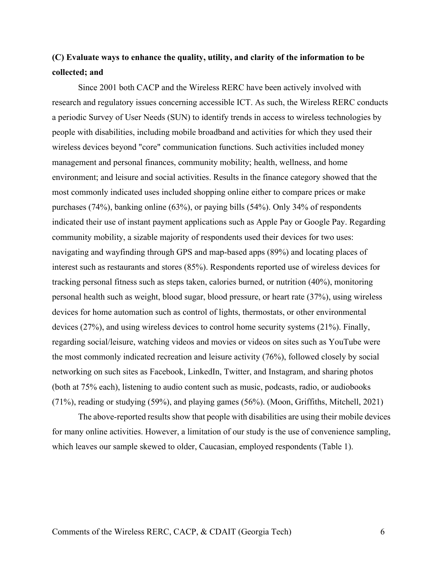## **(C) Evaluate ways to enhance the quality, utility, and clarity of the information to be collected; and**

Since 2001 both CACP and the Wireless RERC have been actively involved with research and regulatory issues concerning accessible ICT. As such, the Wireless RERC conducts a periodic Survey of User Needs (SUN) to identify trends in access to wireless technologies by people with disabilities, including mobile broadband and activities for which they used their wireless devices beyond "core" communication functions. Such activities included money management and personal finances, community mobility; health, wellness, and home environment; and leisure and social activities. Results in the finance category showed that the most commonly indicated uses included shopping online either to compare prices or make purchases (74%), banking online (63%), or paying bills (54%). Only 34% of respondents indicated their use of instant payment applications such as Apple Pay or Google Pay. Regarding community mobility, a sizable majority of respondents used their devices for two uses: navigating and wayfinding through GPS and map-based apps (89%) and locating places of interest such as restaurants and stores (85%). Respondents reported use of wireless devices for tracking personal fitness such as steps taken, calories burned, or nutrition (40%), monitoring personal health such as weight, blood sugar, blood pressure, or heart rate (37%), using wireless devices for home automation such as control of lights, thermostats, or other environmental devices (27%), and using wireless devices to control home security systems (21%). Finally, regarding social/leisure, watching videos and movies or videos on sites such as YouTube were the most commonly indicated recreation and leisure activity (76%), followed closely by social networking on such sites as Facebook, LinkedIn, Twitter, and Instagram, and sharing photos (both at 75% each), listening to audio content such as music, podcasts, radio, or audiobooks (71%), reading or studying (59%), and playing games (56%). (Moon, Griffiths, Mitchell, 2021)

The above-reported results show that people with disabilities are using their mobile devices for many online activities. However, a limitation of our study is the use of convenience sampling, which leaves our sample skewed to older, Caucasian, employed respondents (Table 1).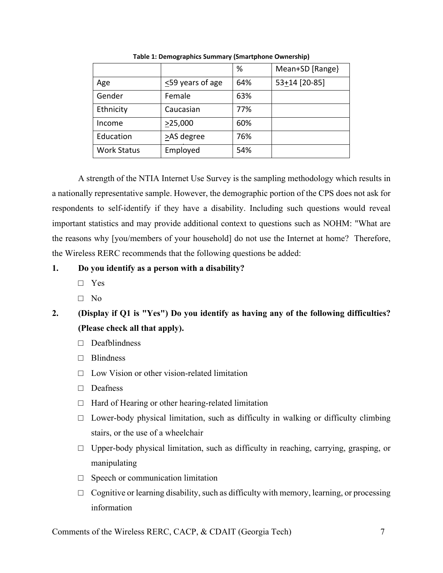|                    |                        | %   | Mean+SD [Range] |
|--------------------|------------------------|-----|-----------------|
| Age                | $\leq$ 59 years of age | 64% | 53+14 [20-85]   |
| Gender             | Female                 | 63% |                 |
| Ethnicity          | Caucasian              | 77% |                 |
| Income             | >25,000                | 60% |                 |
| Education          | >AS degree             | 76% |                 |
| <b>Work Status</b> | Employed               | 54% |                 |

**Table 1: Demographics Summary (Smartphone Ownership)**

A strength of the NTIA Internet Use Survey is the sampling methodology which results in a nationally representative sample. However, the demographic portion of the CPS does not ask for respondents to self-identify if they have a disability. Including such questions would reveal important statistics and may provide additional context to questions such as NOHM: "What are the reasons why [you/members of your household] do not use the Internet at home? Therefore, the Wireless RERC recommends that the following questions be added:

#### **1. Do you identify as a person with a disability?**

- □ Yes
- □ No

# **2. (Display if Q1 is "Yes") Do you identify as having any of the following difficulties? (Please check all that apply).**

- □ Deafblindness
- □ Blindness
- $\Box$  Low Vision or other vision-related limitation
- □ Deafness
- $\Box$  Hard of Hearing or other hearing-related limitation
- $\Box$  Lower-body physical limitation, such as difficulty in walking or difficulty climbing stairs, or the use of a wheelchair
- $\Box$  Upper-body physical limitation, such as difficulty in reaching, carrying, grasping, or manipulating
- $\Box$  Speech or communication limitation
- $\Box$  Cognitive or learning disability, such as difficulty with memory, learning, or processing information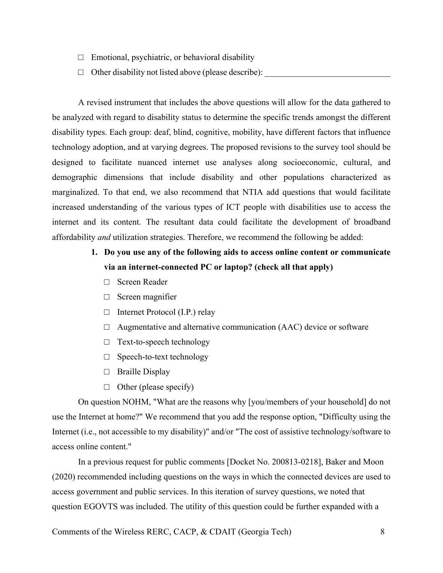- $\Box$  Emotional, psychiatric, or behavioral disability
- $\Box$  Other disability not listed above (please describe):

A revised instrument that includes the above questions will allow for the data gathered to be analyzed with regard to disability status to determine the specific trends amongst the different disability types. Each group: deaf, blind, cognitive, mobility, have different factors that influence technology adoption, and at varying degrees. The proposed revisions to the survey tool should be designed to facilitate nuanced internet use analyses along socioeconomic, cultural, and demographic dimensions that include disability and other populations characterized as marginalized. To that end, we also recommend that NTIA add questions that would facilitate increased understanding of the various types of ICT people with disabilities use to access the internet and its content. The resultant data could facilitate the development of broadband affordability *and* utilization strategies. Therefore, we recommend the following be added:

## **1. Do you use any of the following aids to access online content or communicate via an internet-connected PC or laptop? (check all that apply)**

- □ Screen Reader
- □ Screen magnifier
- □ Internet Protocol (I.P.) relay
- $\Box$  Augmentative and alternative communication (AAC) device or software
- □ Text-to-speech technology
- □ Speech-to-text technology
- □ Braille Display
- $\Box$  Other (please specify)

On question NOHM, "What are the reasons why [you/members of your household] do not use the Internet at home?" We recommend that you add the response option, "Difficulty using the Internet (i.e., not accessible to my disability)" and/or "The cost of assistive technology/software to access online content."

In a previous request for public comments [Docket No. 200813-0218], Baker and Moon (2020) recommended including questions on the ways in which the connected devices are used to access government and public services. In this iteration of survey questions, we noted that question EGOVTS was included. The utility of this question could be further expanded with a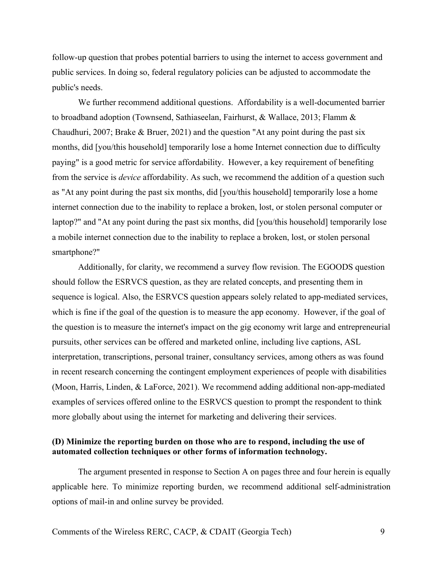follow-up question that probes potential barriers to using the internet to access government and public services. In doing so, federal regulatory policies can be adjusted to accommodate the public's needs.

We further recommend additional questions. Affordability is a well-documented barrier to broadband adoption (Townsend, Sathiaseelan, Fairhurst, & Wallace, 2013; Flamm & Chaudhuri, 2007; Brake & Bruer, 2021) and the question "At any point during the past six months, did [you/this household] temporarily lose a home Internet connection due to difficulty paying" is a good metric for service affordability. However, a key requirement of benefiting from the service is *device* affordability. As such, we recommend the addition of a question such as "At any point during the past six months, did [you/this household] temporarily lose a home internet connection due to the inability to replace a broken, lost, or stolen personal computer or laptop?" and "At any point during the past six months, did [you/this household] temporarily lose a mobile internet connection due to the inability to replace a broken, lost, or stolen personal smartphone?"

Additionally, for clarity, we recommend a survey flow revision. The EGOODS question should follow the ESRVCS question, as they are related concepts, and presenting them in sequence is logical. Also, the ESRVCS question appears solely related to app-mediated services, which is fine if the goal of the question is to measure the app economy. However, if the goal of the question is to measure the internet's impact on the gig economy writ large and entrepreneurial pursuits, other services can be offered and marketed online, including live captions, ASL interpretation, transcriptions, personal trainer, consultancy services, among others as was found in recent research concerning the contingent employment experiences of people with disabilities (Moon, Harris, Linden, & LaForce, 2021). We recommend adding additional non-app-mediated examples of services offered online to the ESRVCS question to prompt the respondent to think more globally about using the internet for marketing and delivering their services.

#### **(D) Minimize the reporting burden on those who are to respond, including the use of automated collection techniques or other forms of information technology.**

The argument presented in response to Section A on pages three and four herein is equally applicable here. To minimize reporting burden, we recommend additional self-administration options of mail-in and online survey be provided.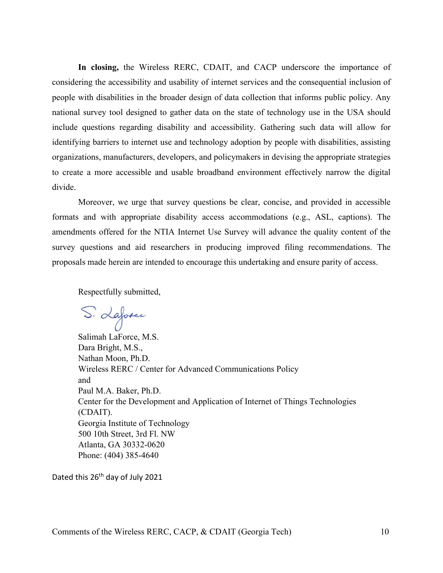**In closing,** the Wireless RERC, CDAIT, and CACP underscore the importance of considering the accessibility and usability of internet services and the consequential inclusion of people with disabilities in the broader design of data collection that informs public policy. Any national survey tool designed to gather data on the state of technology use in the USA should include questions regarding disability and accessibility. Gathering such data will allow for identifying barriers to internet use and technology adoption by people with disabilities, assisting organizations, manufacturers, developers, and policymakers in devising the appropriate strategies to create a more accessible and usable broadband environment effectively narrow the digital divide.

Moreover, we urge that survey questions be clear, concise, and provided in accessible formats and with appropriate disability access accommodations (e.g., ASL, captions). The amendments offered for the NTIA Internet Use Survey will advance the quality content of the survey questions and aid researchers in producing improved filing recommendations. The proposals made herein are intended to encourage this undertaking and ensure parity of access.

Respectfully submitted,

S. Laforce

Salimah LaForce, M.S. Dara Bright, M.S., Nathan Moon, Ph.D. Wireless RERC / Center for Advanced Communications Policy and Paul M.A. Baker, Ph.D. Center for the Development and Application of Internet of Things Technologies (CDAIT). Georgia Institute of Technology 500 10th Street, 3rd Fl. NW Atlanta, GA 30332-0620 Phone: (404) 385-4640

Dated this 26<sup>th</sup> day of July 2021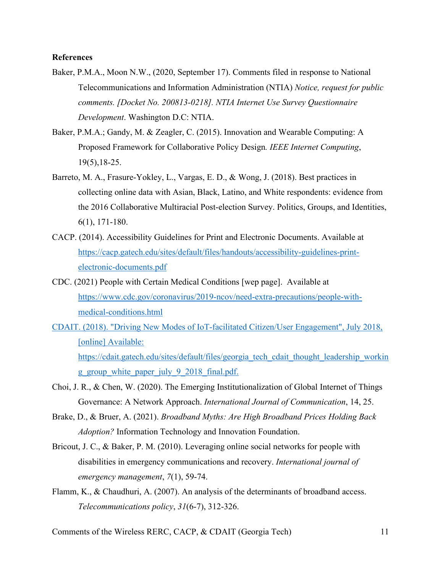#### **References**

- Baker, P.M.A., Moon N.W., (2020, September 17). Comments filed in response to National Telecommunications and Information Administration (NTIA) *Notice, request for public comments. [Docket No. 200813-0218]. NTIA Internet Use Survey Questionnaire Development*. Washington D.C: NTIA.
- Baker, P.M.A.; Gandy, M. & Zeagler, C. (2015). Innovation and Wearable Computing: A Proposed Framework for Collaborative Policy Design*. IEEE Internet Computing*, 19(5),18-25.
- Barreto, M. A., Frasure-Yokley, L., Vargas, E. D., & Wong, J. (2018). Best practices in collecting online data with Asian, Black, Latino, and White respondents: evidence from the 2016 Collaborative Multiracial Post-election Survey. Politics, Groups, and Identities, 6(1), 171-180.
- CACP. (2014). Accessibility Guidelines for Print and Electronic Documents. Available at [https://cacp.gatech.edu/sites/default/files/handouts/accessibility-guidelines-print](https://cacp.gatech.edu/sites/default/files/handouts/accessibility-guidelines-print-electronic-documents.pdf)[electronic-documents.pdf](https://cacp.gatech.edu/sites/default/files/handouts/accessibility-guidelines-print-electronic-documents.pdf)
- CDC. (2021) People with Certain Medical Conditions [wep page]. Available at [https://www.cdc.gov/coronavirus/2019-ncov/need-extra-precautions/people-with](https://www.cdc.gov/coronavirus/2019-ncov/need-extra-precautions/people-with-medical-conditions.html)[medical-conditions.html](https://www.cdc.gov/coronavirus/2019-ncov/need-extra-precautions/people-with-medical-conditions.html)
- CDAIT. (2018). "Driving New Modes of IoT-facilitated Citizen/User Engagement", July 2018, [online] Available: https://cdait.gatech.edu/sites/default/files/georgia\_tech\_cdait\_thought\_leadership\_workin g group white paper july 9 2018 final.pdf.
- Choi, J. R., & Chen, W. (2020). The Emerging Institutionalization of Global Internet of Things Governance: A Network Approach. *International Journal of Communication*, 14, 25.
- Brake, D., & Bruer, A. (2021). *Broadband Myths: Are High Broadband Prices Holding Back Adoption?* Information Technology and Innovation Foundation.
- Bricout, J. C., & Baker, P. M. (2010). Leveraging online social networks for people with disabilities in emergency communications and recovery. *International journal of emergency management*, *7*(1), 59-74.
- Flamm, K., & Chaudhuri, A. (2007). An analysis of the determinants of broadband access. *Telecommunications policy*, *31*(6-7), 312-326.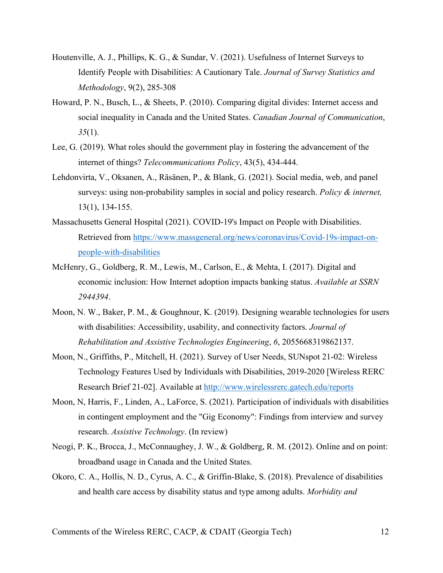- Houtenville, A. J., Phillips, K. G., & Sundar, V. (2021). Usefulness of Internet Surveys to Identify People with Disabilities: A Cautionary Tale. *Journal of Survey Statistics and Methodology*, 9(2), 285-308
- Howard, P. N., Busch, L., & Sheets, P. (2010). Comparing digital divides: Internet access and social inequality in Canada and the United States. *Canadian Journal of Communication*, *35*(1).
- Lee, G. (2019). What roles should the government play in fostering the advancement of the internet of things? *Telecommunications Policy*, 43(5), 434-444.
- Lehdonvirta, V., Oksanen, A., Räsänen, P., & Blank, G. (2021). Social media, web, and panel surveys: using non‐probability samples in social and policy research. *Policy & internet,* 13(1), 134-155.
- Massachusetts General Hospital (2021). COVID-19's Impact on People with Disabilities. Retrieved from [https://www.massgeneral.org/news/coronavirus/Covid-19s-impact-on](https://www.massgeneral.org/news/coronavirus/Covid-19s-impact-on-people-with-disabilities)[people-with-disabilities](https://www.massgeneral.org/news/coronavirus/Covid-19s-impact-on-people-with-disabilities)
- McHenry, G., Goldberg, R. M., Lewis, M., Carlson, E., & Mehta, I. (2017). Digital and economic inclusion: How Internet adoption impacts banking status. *Available at SSRN 2944394*.
- Moon, N. W., Baker, P. M., & Goughnour, K. (2019). Designing wearable technologies for users with disabilities: Accessibility, usability, and connectivity factors. *Journal of Rehabilitation and Assistive Technologies Engineering*, *6*, 2055668319862137.
- Moon, N., Griffiths, P., Mitchell, H. (2021). Survey of User Needs, SUNspot 21-02: Wireless Technology Features Used by Individuals with Disabilities, 2019-2020 [Wireless RERC Research Brief 21-02]. Available at<http://www.wirelessrerc.gatech.edu/reports>
- Moon, N, Harris, F., Linden, A., LaForce, S. (2021). Participation of individuals with disabilities in contingent employment and the "Gig Economy": Findings from interview and survey research. *Assistive Technology*. (In review)
- Neogi, P. K., Brocca, J., McConnaughey, J. W., & Goldberg, R. M. (2012). Online and on point: broadband usage in Canada and the United States.
- Okoro, C. A., Hollis, N. D., Cyrus, A. C., & Griffin-Blake, S. (2018). Prevalence of disabilities and health care access by disability status and type among adults. *Morbidity and*